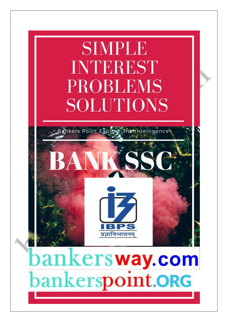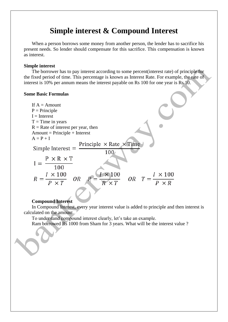# **Simple interest & Compound Interest**

When a person borrows some money from another person, the lender has to sacrifice his present needs. So lender should compensate for this sacrifice. This compensation is known as interest.

#### **Simple interest**

The borrower has to pay interest according to some percent(interest rate) of principle for the fixed period of time. This percentage is known as Interest Rate. For example, the rate of interest is 10% per annum means the interest payable on Rs 100 for one year is Rs 10.

### **Some Basic Formulas**

| If $A =$ Amount                                                                                                                     |
|-------------------------------------------------------------------------------------------------------------------------------------|
| $P = Principle$                                                                                                                     |
| $I = Interest$                                                                                                                      |
| $T = Time$ in years                                                                                                                 |
| $R =$ Rate of interest per year, then                                                                                               |
| $Amount = Principle + Interest$                                                                                                     |
| $A = P + I$                                                                                                                         |
| Principle $\times$ Rate $\times$ Time<br>Simple Interest $=$                                                                        |
| 100                                                                                                                                 |
| $P \times R \times T$                                                                                                               |
| 100                                                                                                                                 |
| $\frac{I \times 100}{P \times T}$<br>$l \times 100$<br>$\frac{I \times 100}{P \times R}$<br>$OR$ $T =$<br><b>OR</b><br>$R \times T$ |
|                                                                                                                                     |

## **Compound Interest**

In Compound Interest, every year interest value is added to principle and then interest is calculated on the amount.

To understand compound interest clearly, let's take an example.

Ram borrowed Rs 1000 from Sham for 3 years. What will be the interest value ?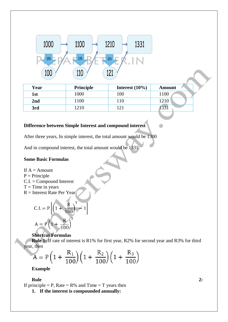

| Year | <b>Principle</b> | Interest $(10\%)$ | Amount     |
|------|------------------|-------------------|------------|
| 1st  | 1000             | 100               | 1100       |
| 2nd  | 1100             | 10                | 1210       |
| 3rd  | 1210             | 21                | $\sqrt{2}$ |

## **Difference between Simple Interest and compound interest**

After three years, In simple interest, the total amount would be 1300

And in compound interest, the total amount would be 1331.

## **Some Basic Formulas**

If  $A =$  Amount

 $P = Principle$ 

 $C.I. = Compound Interest$ 

- $T =$ Time in years
- R = Interest Rate Per Year

C. I. = 
$$
P\left[\left(1 + \frac{R}{100}\right)^T - 1\right]
$$
  
A =  $P\left(1 + \frac{R}{100}\right)^T$ 

## **Shortcut Formulas**

**Rule 1:** If rate of interest is R1% for first year, R2% for second year and R3% for third year, then

$$
A = P\left(1 + \frac{R_1}{100}\right)\left(1 + \frac{R_2}{100}\right)\left(1 + \frac{R_3}{100}\right)
$$

**Example**

#### **Rule 2:**

If principle  $=$  P, Rate  $=$  R% and Time  $=$  T years then

**1. If the interest is compounded annually:**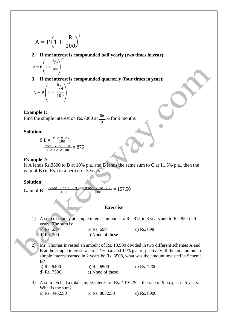$$
A = P\left(1 + \frac{R}{100}\right)^{T}
$$

**2. If the interest is compounded half yearly (two times in year):**

$$
A = P \left( 1 + \frac{R/2}{100} \right)^{2}
$$

**3. If the interest is compounded quarterly (four times in year):**

$$
A = P \left( 1 + \frac{R/4}{100} \right)^4
$$

#### **Example 1:**

Find the simple interest on Rs.7000 at  $\frac{50}{\sqrt{2}}$ % for 9 months 3

#### **Solution:**

S.I. = 
$$
\frac{P \times R \times T}{100}
$$

$$
= \frac{7000 \times 50 \times 9}{3 \times 12 \times 100} = 875
$$

#### **Example 2:**

If A lends Rs.3500 to B at 10% p.a. and B lends the same sum to C at 11.5% p.a., then the gain of B (in Rs.) in a period of 3 years is

#### **Solution:**

Gain of B =  $\frac{3500 \times}{1100}$ 100  $\frac{3500 \times 10 \times 3}{100} = 157.50$ 100

### **Exercise**

1) A sum of money at simple interest amounts to Rs. 815 in 3 years and to Rs. 854 in 4 years. The sum is:

| a) Rs. $650$ | b) Rs. $690$     | c) Rs. $698$ |
|--------------|------------------|--------------|
| d) Rs. $700$ | e) None of these |              |

2) Mr. Thomas invested an amount of Rs. 13,900 divided in two different schemes A and B at the simple interest rate of 14% p.a. and 11% p.a. respectively. If the total amount of simple interest earned in 2 years be Rs. 3508, what was the amount invested in Scheme B?

a) Rs. 6400 b) Rs. 6500 c) Rs. 7200 d) Rs. 7500 e) None of these

3) A sum fetched a total simple interest of Rs. 4016.25 at the rate of 9 p.c.p.a. in 5 years. What is the sum? a) Rs. 4462.50 b) Rs. 8032.50 c) Rs. 8900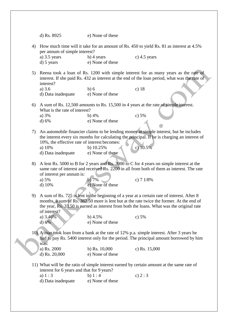|    | d) Rs. 8925                                                                                                                                                                                                                             | e) None of these |                                                                                                                                                                                                                                                                                     |  |
|----|-----------------------------------------------------------------------------------------------------------------------------------------------------------------------------------------------------------------------------------------|------------------|-------------------------------------------------------------------------------------------------------------------------------------------------------------------------------------------------------------------------------------------------------------------------------------|--|
| 4) | How much time will it take for an amount of Rs. 450 to yield Rs. 81 as interest at 4.5%<br>per annum of simple interest?                                                                                                                |                  |                                                                                                                                                                                                                                                                                     |  |
|    | a) $3.5$ years                                                                                                                                                                                                                          | $b)$ 4 years     | c) $4.5$ years                                                                                                                                                                                                                                                                      |  |
|    | $d)$ 5 years                                                                                                                                                                                                                            | e) None of these |                                                                                                                                                                                                                                                                                     |  |
|    |                                                                                                                                                                                                                                         |                  |                                                                                                                                                                                                                                                                                     |  |
| 5) | Reena took a loan of Rs. 1200 with simple interest for as many years as the rate of<br>interest. If she paid Rs. 432 as interest at the end of the loan period, what was the rate of                                                    |                  |                                                                                                                                                                                                                                                                                     |  |
|    | interest?                                                                                                                                                                                                                               |                  |                                                                                                                                                                                                                                                                                     |  |
|    | a) $3.6$                                                                                                                                                                                                                                | b)6              | c) $18$                                                                                                                                                                                                                                                                             |  |
|    | d) Data inadequate                                                                                                                                                                                                                      | e) None of these |                                                                                                                                                                                                                                                                                     |  |
| 6) |                                                                                                                                                                                                                                         |                  | A sum of Rs. 12,500 amounts to Rs. 15,500 in 4 years at the rate of simple interest.                                                                                                                                                                                                |  |
|    | What is the rate of interest?                                                                                                                                                                                                           |                  |                                                                                                                                                                                                                                                                                     |  |
|    | a) 3%                                                                                                                                                                                                                                   | b) $4%$          | c) $5%$                                                                                                                                                                                                                                                                             |  |
|    |                                                                                                                                                                                                                                         | e) None of these |                                                                                                                                                                                                                                                                                     |  |
|    | d) 6%                                                                                                                                                                                                                                   |                  |                                                                                                                                                                                                                                                                                     |  |
| 7) | An automobile financier claims to be lending money at simple interest, but he includes<br>the interest every six months for calculating the principal. If he is charging an interest of<br>10%, the effective rate of interest becomes: |                  |                                                                                                                                                                                                                                                                                     |  |
|    | a) 10%                                                                                                                                                                                                                                  | b) $10.25%$      | c) $10.5%$                                                                                                                                                                                                                                                                          |  |
|    | d) Data inadequate                                                                                                                                                                                                                      | e) None of these |                                                                                                                                                                                                                                                                                     |  |
|    |                                                                                                                                                                                                                                         |                  |                                                                                                                                                                                                                                                                                     |  |
| 8) | of interest per annum is:                                                                                                                                                                                                               |                  | A lent Rs. 5000 to B for 2 years and Rs. 3000 to C for 4 years on simple interest at the<br>same rate of interest and received Rs. 2200 in all from both of them as interest. The rate                                                                                              |  |
|    | a) $5%$                                                                                                                                                                                                                                 | b)7%             | c) $71/8%$                                                                                                                                                                                                                                                                          |  |
|    | $d)$ 10%                                                                                                                                                                                                                                | e) None of these |                                                                                                                                                                                                                                                                                     |  |
|    |                                                                                                                                                                                                                                         |                  |                                                                                                                                                                                                                                                                                     |  |
| 9) | of interest?                                                                                                                                                                                                                            |                  | A sum of Rs. 725 is lent in the beginning of a year at a certain rate of interest. After 8<br>months, a sum of Rs. 362.50 more is lent but at the rate twice the former. At the end of<br>the year, Rs. 33.50 is earned as interest from both the loans. What was the original rate |  |
|    | a) 3.46%                                                                                                                                                                                                                                | b) $4.5%$        | c) $5%$                                                                                                                                                                                                                                                                             |  |
|    | d) 6%                                                                                                                                                                                                                                   | e) None of these |                                                                                                                                                                                                                                                                                     |  |
|    | was:                                                                                                                                                                                                                                    |                  | 10) A man took loan from a bank at the rate of 12% p.a. simple interest. After 3 years he<br>had to pay Rs. 5400 interest only for the period. The principal amount borrowed by him                                                                                                 |  |
|    | a) Rs. 2000                                                                                                                                                                                                                             | b) Rs. $10,000$  | c) Rs. 15,000                                                                                                                                                                                                                                                                       |  |
|    | d) Rs. 20,000                                                                                                                                                                                                                           | e) None of these |                                                                                                                                                                                                                                                                                     |  |
|    | interest for 6 years and that for 9 years?                                                                                                                                                                                              |                  | 11) What will be the ratio of simple interest earned by certain amount at the same rate of                                                                                                                                                                                          |  |
|    | a) $1:3$                                                                                                                                                                                                                                | b) $1:4$         | c) $2:3$                                                                                                                                                                                                                                                                            |  |
|    | d) Data inadequate                                                                                                                                                                                                                      | e) None of these |                                                                                                                                                                                                                                                                                     |  |
|    |                                                                                                                                                                                                                                         |                  |                                                                                                                                                                                                                                                                                     |  |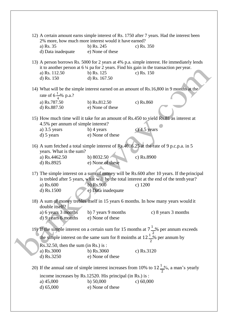|                                                                                                                                                                                      | 2% more, how much more interest would it have earned?     | 12) A certain amount earns simple interest of Rs. 1750 after 7 years. Had the interest been                                                                                                                   |  |
|--------------------------------------------------------------------------------------------------------------------------------------------------------------------------------------|-----------------------------------------------------------|---------------------------------------------------------------------------------------------------------------------------------------------------------------------------------------------------------------|--|
| a) Rs. 35                                                                                                                                                                            | b) Rs. $245$                                              | c) Rs. 350                                                                                                                                                                                                    |  |
| d) Data inadequate                                                                                                                                                                   | e) None of these                                          |                                                                                                                                                                                                               |  |
| a) Rs. 112.50                                                                                                                                                                        | b) Rs. $125$<br>d) Rs. 167.50                             | 13) A person borrows Rs. 5000 for 2 years at 4% p.a. simple interest. He immediately lends<br>it to another person at $6\frac{1}{4}$ pa for 2 years. Find his gain in the transaction per year.<br>c) Rs. 150 |  |
| d) Rs. 150                                                                                                                                                                           |                                                           |                                                                                                                                                                                                               |  |
|                                                                                                                                                                                      |                                                           | 14) What will be the simple interest earned on an amount of Rs.16,800 in 9 months at the                                                                                                                      |  |
| rate of $6\frac{1}{4}$ % p.a.?                                                                                                                                                       |                                                           |                                                                                                                                                                                                               |  |
| a) Rs.787.50                                                                                                                                                                         | b) Rs.812.50                                              | c) Rs.860                                                                                                                                                                                                     |  |
| d) Rs.887.50                                                                                                                                                                         | e) None of these                                          |                                                                                                                                                                                                               |  |
|                                                                                                                                                                                      |                                                           | 15) How much time will it take for an amount of Rs.450 to yield Rs.81 as interest at                                                                                                                          |  |
| 4.5% per annum of simple interest?                                                                                                                                                   |                                                           |                                                                                                                                                                                                               |  |
| a) $3.5$ years                                                                                                                                                                       | b) 4 years                                                | $c)$ 4.5 years                                                                                                                                                                                                |  |
| d) 5 years                                                                                                                                                                           | e) None of these                                          |                                                                                                                                                                                                               |  |
|                                                                                                                                                                                      |                                                           |                                                                                                                                                                                                               |  |
| years. What is the sum?                                                                                                                                                              |                                                           | 16) A sum fetched a total simple interest of Rs.4016.25 at the rate of 9 p.c.p.a. in 5                                                                                                                        |  |
| a) Rs.4462.50                                                                                                                                                                        | b) 8032.50                                                | c) Rs.8900                                                                                                                                                                                                    |  |
| d) Rs.8925                                                                                                                                                                           | e) None of these                                          |                                                                                                                                                                                                               |  |
|                                                                                                                                                                                      |                                                           |                                                                                                                                                                                                               |  |
| 17) The simple interest on a sum of money will be Rs.600 after 10 years. If the principal<br>is trebled after 5 years, what will be the total interest at the end of the tenth year? |                                                           |                                                                                                                                                                                                               |  |
| a) Rs.600                                                                                                                                                                            | $b)$ Rs.900                                               | $c)$ 1200                                                                                                                                                                                                     |  |
| d) Rs.1500                                                                                                                                                                           | e) Data inadequate                                        |                                                                                                                                                                                                               |  |
|                                                                                                                                                                                      |                                                           |                                                                                                                                                                                                               |  |
| double itself?                                                                                                                                                                       |                                                           | 18) A sum of money trebles itself in 15 years 6 months. In how many years would it                                                                                                                            |  |
| a) 6 years 3 months                                                                                                                                                                  | b) 7 years 9 months                                       | c) 8 years 3 months                                                                                                                                                                                           |  |
| d) 9 years 6 months                                                                                                                                                                  | e) None of these                                          |                                                                                                                                                                                                               |  |
|                                                                                                                                                                                      |                                                           |                                                                                                                                                                                                               |  |
|                                                                                                                                                                                      |                                                           | 19) If the simple interest on a certain sum for 15 months at $7\frac{1}{2}$ % per annum exceeds                                                                                                               |  |
|                                                                                                                                                                                      |                                                           | the simple interest on the same sum for 8 moinths at $12\frac{1}{2}$ % per annum by                                                                                                                           |  |
| $Rs.32.50$ , then the sum (in Rs.) is:                                                                                                                                               |                                                           |                                                                                                                                                                                                               |  |
| a) Rs.3000                                                                                                                                                                           | b) $Rs.3060$                                              | c) Rs.3120                                                                                                                                                                                                    |  |
| d) Rs.3250                                                                                                                                                                           | e) None of these                                          |                                                                                                                                                                                                               |  |
|                                                                                                                                                                                      |                                                           | 20) If the annual rate of simple interest increases from 10% to $12\frac{1}{2}\%$ , a man's yearly                                                                                                            |  |
|                                                                                                                                                                                      | income increases by Rs.12520. His principal (in Rs.) is : |                                                                                                                                                                                                               |  |
| a) $45,000$                                                                                                                                                                          | b) $50,000$                                               | c) $60,000$                                                                                                                                                                                                   |  |
| d) $65,000$                                                                                                                                                                          | e) None of these                                          |                                                                                                                                                                                                               |  |
|                                                                                                                                                                                      |                                                           |                                                                                                                                                                                                               |  |
|                                                                                                                                                                                      |                                                           |                                                                                                                                                                                                               |  |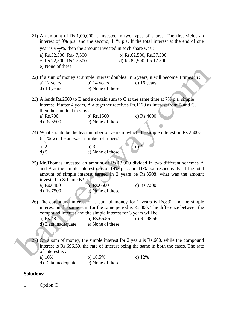|                   | 21) An amount of Rs.1,00,000 is invested in two types of shares. The first yields an<br>interest of 9% p.a. and the second, 11% p.a. If the total interest at the end of one                                                                                                                                     |                                              |                         |  |
|-------------------|------------------------------------------------------------------------------------------------------------------------------------------------------------------------------------------------------------------------------------------------------------------------------------------------------------------|----------------------------------------------|-------------------------|--|
|                   | year is $9\frac{3}{4}\%$ , then the amount invested in each share was :                                                                                                                                                                                                                                          |                                              |                         |  |
|                   | a) Rs.52,500, Rs.47,500                                                                                                                                                                                                                                                                                          |                                              | b) Rs.62,500, Rs.37,500 |  |
|                   | c) Rs.72,500, Rs.27,500                                                                                                                                                                                                                                                                                          |                                              | d) Rs.82,500, Rs.17.500 |  |
|                   | e) None of these                                                                                                                                                                                                                                                                                                 |                                              |                         |  |
|                   |                                                                                                                                                                                                                                                                                                                  |                                              |                         |  |
|                   | 22) If a sum of money at simple interest doubles in 6 years, it will become 4 times in:                                                                                                                                                                                                                          |                                              |                         |  |
|                   | a) 12 years                                                                                                                                                                                                                                                                                                      | b) $14$ years                                | c) $16$ years           |  |
|                   | d) 18 years                                                                                                                                                                                                                                                                                                      | e) None of these                             |                         |  |
|                   | 23) A lends Rs.2500 to B and a certain sum to C at the same time at 7% p.a. simple                                                                                                                                                                                                                               |                                              |                         |  |
|                   | interest. If after 4 years, A altogether receives Rs.1120 as interest from B and C,                                                                                                                                                                                                                              |                                              |                         |  |
|                   | then the sum lent to $C$ is :                                                                                                                                                                                                                                                                                    |                                              |                         |  |
|                   | a) Rs.700                                                                                                                                                                                                                                                                                                        | b) $Rs.1500$                                 | c) Rs.4000              |  |
|                   | d) Rs.6500                                                                                                                                                                                                                                                                                                       | e) None of these                             |                         |  |
|                   |                                                                                                                                                                                                                                                                                                                  |                                              |                         |  |
|                   | 24) What should be the least number of years in which the simple interest on Rs.2600 at                                                                                                                                                                                                                          |                                              |                         |  |
|                   | $6\frac{2}{3}$ will be an exact number of rupees?                                                                                                                                                                                                                                                                |                                              |                         |  |
|                   |                                                                                                                                                                                                                                                                                                                  |                                              |                         |  |
|                   | a) $2$                                                                                                                                                                                                                                                                                                           | b)3                                          | $\left( c\right) 4$     |  |
|                   | $d)$ 5                                                                                                                                                                                                                                                                                                           | e) None of these                             |                         |  |
|                   | 25) Mr. Thomas invested an amount of Rs.13,900 divided in two different schemes A<br>and B at the simple interest rate of 14% p.a. and 11% p.a. respectively. If the total<br>amount of simple interest earned in 2 years be Rs.3508, what was the amount<br>invested in Scheme B?<br>a) Rs.6400<br>d) $Rs.7500$ | $\overline{b}$ ) Rs.6500<br>e) None of these | c) Rs.7200              |  |
|                   | 26) The compound interest on a sum of money for 2 years is Rs.832 and the simple<br>interest on the same sum for the same period is Rs.800. The difference between the<br>compound Interest and the simple interest for 3 years will be;                                                                         |                                              |                         |  |
|                   | a) Rs.48                                                                                                                                                                                                                                                                                                         | b) $Rs.66.56$                                | c) Rs.98.56             |  |
|                   | d) Data inadequate                                                                                                                                                                                                                                                                                               | e) None of these                             |                         |  |
|                   |                                                                                                                                                                                                                                                                                                                  |                                              |                         |  |
|                   | 27) On a sum of money, the simple interest for 2 years is Rs.660, while the compound                                                                                                                                                                                                                             |                                              |                         |  |
|                   | interest is Rs.696.30, the rate of interest being the same in both the cases. The rate                                                                                                                                                                                                                           |                                              |                         |  |
|                   | of interest is:                                                                                                                                                                                                                                                                                                  |                                              |                         |  |
|                   | a) 10%                                                                                                                                                                                                                                                                                                           | b) 10.5%                                     | c) $12%$                |  |
|                   | d) Data inadequate                                                                                                                                                                                                                                                                                               | e) None of these                             |                         |  |
|                   |                                                                                                                                                                                                                                                                                                                  |                                              |                         |  |
| <b>Solutions:</b> |                                                                                                                                                                                                                                                                                                                  |                                              |                         |  |
| 1.                | Option C                                                                                                                                                                                                                                                                                                         |                                              |                         |  |
|                   |                                                                                                                                                                                                                                                                                                                  |                                              |                         |  |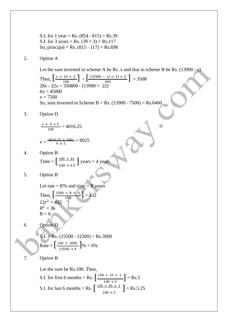Time =  $\left[\frac{100 \times 81}{450 \times 45}\right]$  years = 4 years Then,  $\left[ \frac{1200 \times R \times R}{100} \right] = 432$ Rate =  $\left[\frac{100 \times 3000}{12500 \times 4}\right]$ % = 6% S.I. for first 6 months = Rs.  $\left[\frac{100 \times 10 \times 1}{100 \times 2}\right]$  = Rs.5 S.I. for last 6 months = Rs.  $\left[ \frac{105 \times 10 \times 1}{100 \times 2} \right]$  = Rs.5.25 S.I. for 1 year = Rs.  $(854 - 815) =$  Rs.39 S.I. for 3 years = Rs.  $(39 \times 3)$  = Rs. 117 So, principal = Rs.  $(815 - 117) =$  Rs. 698 2. Option A Let the sum invested in scheme A be Rs. x and that in scheme B be Rs.  $(13900 - x)$ Then,  $\left[\frac{x \times 14 \times 2}{100}\right]$   $\div \left[\frac{(13900 - x) \times 11 \times 2}{100}\right]$  = 3508  $28x - 22x = 350800 - (13900 \times 22)$  $6x = 45000$  $x = 7500$ So, sum invested in Scheme B = Rs.  $(13900 - 7500) =$  Rs. 6400 3. Option D  $x \times 9 \times 5$  $\frac{9 \times 3}{100} = 4016.25$  $X = \frac{4016.25 \times 100}{9 \times 5}$  $\frac{125 \times 100}{9 \times 5} = 8925$ 4. Option B  $450 \times 4.5$ 5. Option B Let rate =  $R\%$  and time =  $R$  years  $12r^2 = 432$  $R^2 = 36$  $R = 6$ 6. Option D  $S.I. = Rs. (15500 - 12500) = Rs.3000$ 7. Option B Let the sum be Rs.100. Then,  $100 \times 2$  $100 \times 2$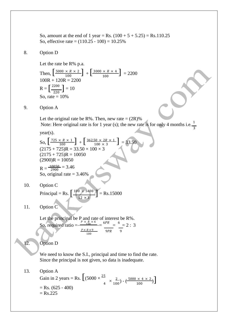So, amount at the end of 1 year = Rs.  $(100 + 5 + 5.25)$  = Rs.110.25 So, effective rate =  $(110.25 - 100) = 10.25%$ 

#### 8. Option D

Let the rate be R% p.a.

 $R = \left[\frac{2200}{220}\right] = 10$ Then,  $\left[\frac{5000 \times R \times 2}{100}\right] + \left[\frac{3000 \times R \times 4}{100}\right] = 2200$  $100R + 120R = 2200$ So, rate  $= 10%$ 

9. Option A

Let the original rate be R%. Then, new rate =  $(2R)$ % Note: Here original rate is for 1 year (s); the new rate is for only 4 months i.e.  $\frac{1}{3}$ 

year(s).

So,  $\left[\frac{725 \times R \times 1}{100}\right] + \left[\frac{362.50 \times 2R \times 1}{100 \times 3}\right] = 33.50$  $(2175 + 725)R = 33.50 \times 100 \times 3$  $(2175 + 725)R = 10050$  $(2900)R = 10050$ 

 $R = \frac{10050}{2900} = 3.46$ So, original rate  $= 3.46\%$ 

10. Option C

Principal = Rs. 
$$
\left[\frac{100 \times 5400}{12 \times 3}\right]
$$
 = Rs.15000

11. Option C

Let the principal be P and rate of interest be R%.<br>So, required ratio =  $\frac{P \times_R R \times 6}{P \times_R P} = \frac{6PR}{P} = \frac{6}{12}$ : 3 So, required ratio =  $P \times R \times 9$ 100  $9PR$ 

#### 12. Option D

We need to know the S.I., principal and time to find the rate. Since the principal is not given, so data is inadequate.

13. Option A

Gain in 2 years = Rs.  $\left[ (5000 \times \frac{25}{4} \times \frac{2}{100}) - (\frac{5000 \times 4 \times 2}{100}) \right]$  $=$  Rs. (625 - 400)  $=$  Rs.225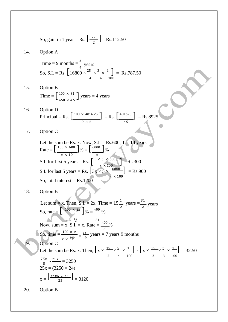So, gain in 1 year = Rs.  $\left[\frac{225}{2}\right]$  = Rs.112.50 Time =  $\left[\frac{100 \times 81}{450 \times 45}\right]$  years = 4 years S.I. for first 5 years = Rs.  $\left[ \frac{x \times 5 \times 6000}{x \times 100} \right] =$  Rs.300 Now, sum = x, S.I. = x, Rate =  $\frac{400}{31}\%$  $r \times \frac{400}{31}$  $x = \left[ \frac{3250 \times 24}{25} \right] = 3120$ 14. Option A Time = 9 months =  $\frac{3}{4}$  years So, S.I. = Rs.  $\left[16800 \times \frac{25}{100} \times \frac{3}{100} \times \frac{1}{100}\right] = \text{Rs.787.50}$ 15. Option B 4 4 100  $450 \times 4.5$ 16. Option D Principal = Rs.  $\left[\frac{100 \times 4016.25}{2}\right]$  = Rs.  $\left[\frac{401625}{2}\right]$  = Rs. 8925 17. Option C  $9 \times 5$  45 Let the sum be Rs. x. Now, S.I. = Rs.600,  $T = 10$  years Rate =  $\left[\frac{100 \times 600}{96}\right]$ % =  $\left[\frac{6000}{96}\right]$ %  $x \times 10$   $x$ S.I. for last 5 years = Rs.  $\left[3x \times 5 \times \frac{6000}{ } \right]$  = Rs.900 So, total interest =  $Rs.1200$  $x \times 100$ 18. Option B Let sum = x. Then, S.I. = 2x, Time =  $15\frac{1}{2}$  years =  $\frac{31}{2}$  $\frac{1}{2}$  years So, rate =  $\left[ \frac{100 \times 2x}{96} \right]$ % =  $\frac{400}{96}$ % So, time  $=\frac{100 \times}{100 \times}$  $\frac{31}{99} = \frac{31}{4}$  $\frac{1}{4}$  years = 7 years 9 months 19. Option C Let the sum be Rs. x. Then,  $\left[ x \times \frac{15}{2} \times \frac{5}{3} \times \frac{1}{2} \right] - \left[ x \times \frac{25}{2} \times \frac{2}{3} \times \frac{1}{2} \right] = 32.50$  $75x$  $rac{5x}{8}$  -  $rac{25x}{3}$  $\frac{6x}{3}$  = 3250 2 4 100 2 3 100  $25x = (3250 \times 24)$ 20. Option B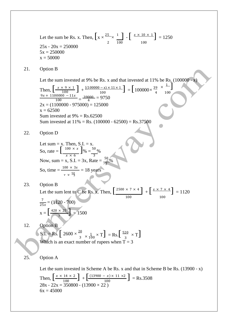Let the sum be Rs. x. Then,  $\left[x \times \frac{25}{1}\right]$   $\cdot \left[\frac{x \times 10 \times 1}{1}\right]$  = 1250  $25x - 20x = 250000$  $5x = 250000$  $x = 50000$ 2 100 100

21. Option B

Let the sum invested at 9% be Rs. x and that invested at  $11\%$  be Rs. (100000 - x)  $\overline{1}$ ]

100

Then, 
$$
\left[\frac{x \times 9 \times 1}{100}\right] + \frac{[(100000 - x) \times 11 \times 1)}{100} = \left[100000 \times \frac{39}{4} \times \frac{9x + 1100000 - 11x}{100} \right] = \frac{39000}{4} = 9750
$$
  
2x = (1100000 - 975000) = 125000  
x = 62500  
Sum invested at 9% = Rs. 62500  
Sum invested at 11% = Rs. (100000 - 62500) = Rs.37500

22. Option D

Let sum = x. Then, S.I. = x.  
\nSo, rate = 
$$
\left[\frac{100 \times x}{x \times 6}\right]
$$
% =  $\frac{50}{3}$ %  
\nNow, sum = x, S.I. = 3x, Rate =  $\frac{50}{3}$ %  
\nSo, time =  $\frac{100 \times 3x}{x \times \frac{59}{3}}$  = 18 years

 $x = \left[\frac{420 \times 25}{7}\right] = 1500$ 23. Option B Let the sum lent to C be Rs. x. Then,  $\left[\frac{2500 \times 7 \times 4}{2500 \times 7 \times 4}\right]$  +  $\left[\frac{x \times 7 \times 4}{2500 \times 7 \times 4}\right]$  = 1120 7  $\frac{7}{25x}$  = (1120 - 700) 100 100

12. Option B

 $S.I. = Rs. \left[ 2600 \times \frac{20}{3} \times \frac{1}{100} \times T \right] = Rs. \left[ \frac{520}{3} \times T \right]$ Which is an exact number of rupees when  $T = 3$ 

## 25. Option A

Let the sum invested in Scheme A be Rs. x and that in Scheme B be Rs.  $(13900 - x)$ 

Then, 
$$
\left[\frac{x \times 14 \times 2}{100}\right] + \left[\frac{(13900 - x) \times 11 \times 2}{100}\right] = \text{Rs.3508}
$$
  
28x - 22x = 350800 - (13900 × 22)  
6x = 45000